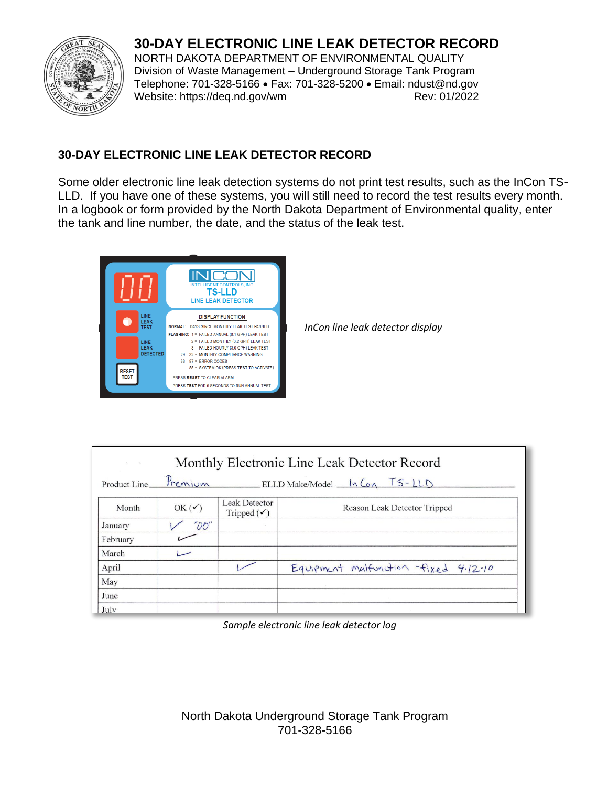## **30-DAY ELECTRONIC LINE LEAK DETECTOR RECORD**



NORTH DAKOTA DEPARTMENT OF ENVIRONMENTAL QUALITY Division of Waste Management – Underground Storage Tank Program Telephone: 701-328-5166 • Fax: 701-328-5200 • Email: ndust@nd.gov Website:<https://deq.nd.gov/wm>Rev: 01/2022

## **30-DAY ELECTRONIC LINE LEAK DETECTOR RECORD**

Some older electronic line leak detection systems do not print test results, such as the InCon TS-LLD. If you have one of these systems, you will still need to record the test results every month. In a logbook or form provided by the North Dakota Department of Environmental quality, enter the tank and line number, the date, and the status of the leak test.



*InCon line leak detector display*

| $\mathbf{z}$ . The set | Monthly Electronic Line Leak Detector Record |                                                |                                       |  |  |  |
|------------------------|----------------------------------------------|------------------------------------------------|---------------------------------------|--|--|--|
| Product Line           |                                              |                                                | Premium ELLD Make/Model In Con TS-LLD |  |  |  |
| Month                  | OK $(\checkmark)$                            | <b>Leak Detector</b><br>Tripped $(\checkmark)$ | Reason Leak Detector Tripped          |  |  |  |
| January                | "OO"                                         |                                                |                                       |  |  |  |
| February               |                                              |                                                |                                       |  |  |  |
| March                  |                                              |                                                |                                       |  |  |  |
| April                  |                                              |                                                | Equipment malfunction -fixed 4.12.10  |  |  |  |
| May                    |                                              |                                                |                                       |  |  |  |
| June                   |                                              |                                                |                                       |  |  |  |
| July                   |                                              |                                                |                                       |  |  |  |

*Sample electronic line leak detector log*

North Dakota Underground Storage Tank Program 701-328-5166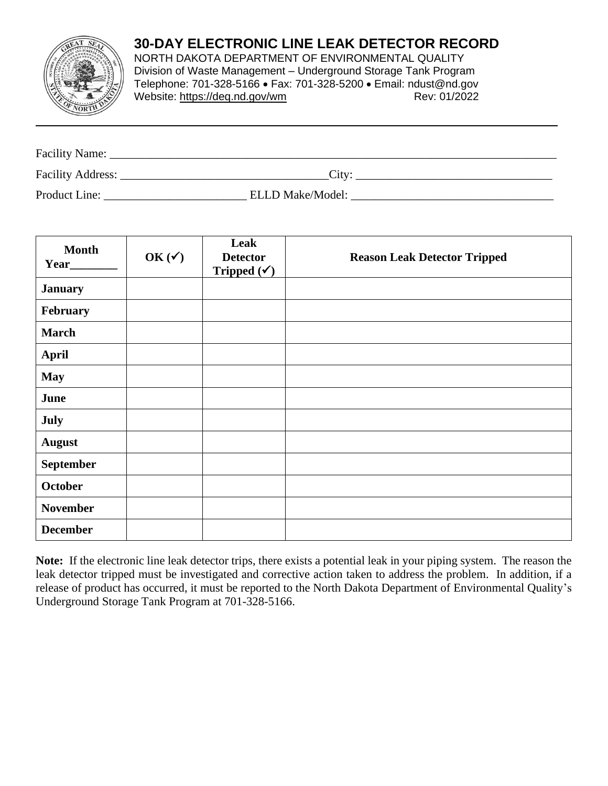## **30-DAY ELECTRONIC LINE LEAK DETECTOR RECORD**



NORTH DAKOTA DEPARTMENT OF ENVIRONMENTAL QUALITY Division of Waste Management – Underground Storage Tank Program Telephone: 701-328-5166 • Fax: 701-328-5200 • Email: ndust@nd.gov Website:<https://deq.nd.gov/wm>Rev: 01/2022

| Facility Name:    |                         |  |
|-------------------|-------------------------|--|
| Facility Address: | City:                   |  |
| Product Line:     | <b>ELLD Make/Model:</b> |  |

| <b>Month</b><br>Year_____ | OK $(\checkmark)$ | Leak<br><b>Detector</b><br>Tripped $(\checkmark)$ | <b>Reason Leak Detector Tripped</b> |
|---------------------------|-------------------|---------------------------------------------------|-------------------------------------|
| <b>January</b>            |                   |                                                   |                                     |
| February                  |                   |                                                   |                                     |
| <b>March</b>              |                   |                                                   |                                     |
| <b>April</b>              |                   |                                                   |                                     |
| <b>May</b>                |                   |                                                   |                                     |
| June                      |                   |                                                   |                                     |
| July                      |                   |                                                   |                                     |
| <b>August</b>             |                   |                                                   |                                     |
| September                 |                   |                                                   |                                     |
| October                   |                   |                                                   |                                     |
| <b>November</b>           |                   |                                                   |                                     |
| <b>December</b>           |                   |                                                   |                                     |

**Note:** If the electronic line leak detector trips, there exists a potential leak in your piping system. The reason the leak detector tripped must be investigated and corrective action taken to address the problem. In addition, if a release of product has occurred, it must be reported to the North Dakota Department of Environmental Quality's Underground Storage Tank Program at 701-328-5166.